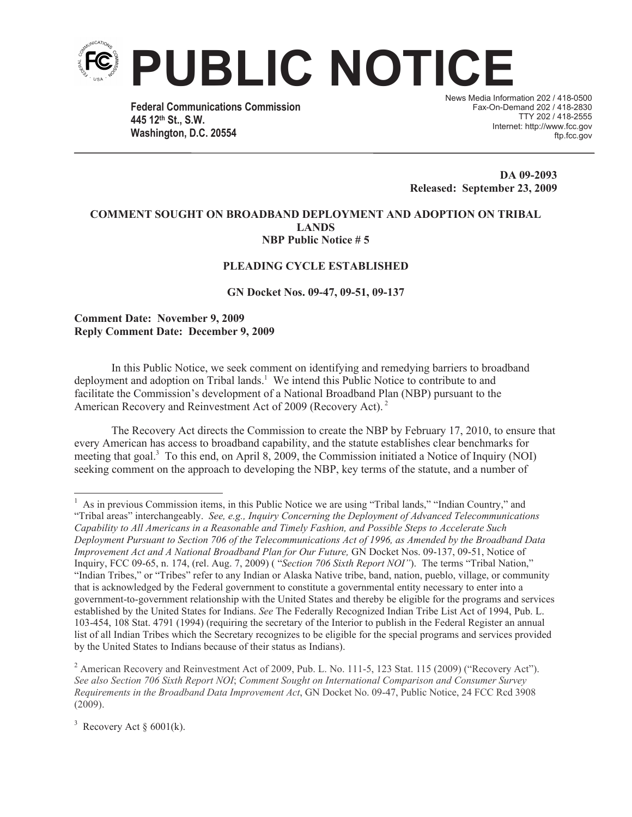

**Federal Communications Commission 445 12th St., S.W. Washington, D.C. 20554**

News Media Information 202 / 418-0500 Fax-On-Demand 202 / 418-2830 TTY 202 / 418-2555 Internet: http://www.fcc.gov ftp.fcc.gov

**DA 09-2093 Released: September 23, 2009**

## **COMMENT SOUGHT ON BROADBAND DEPLOYMENT AND ADOPTION ON TRIBAL LANDS NBP Public Notice # 5**

## **PLEADING CYCLE ESTABLISHED**

**GN Docket Nos. 09-47, 09-51, 09-137**

**Comment Date: November 9, 2009 Reply Comment Date: December 9, 2009**

In this Public Notice, we seek comment on identifying and remedying barriers to broadband deployment and adoption on Tribal lands.<sup>1</sup> We intend this Public Notice to contribute to and facilitate the Commission's development of a National Broadband Plan (NBP) pursuant to the American Recovery and Reinvestment Act of 2009 (Recovery Act). <sup>2</sup>

The Recovery Act directs the Commission to create the NBP by February 17, 2010, to ensure that every American has access to broadband capability, and the statute establishes clear benchmarks for meeting that goal.<sup>3</sup> To this end, on April 8, 2009, the Commission initiated a Notice of Inquiry (NOI) seeking comment on the approach to developing the NBP, key terms of the statute, and a number of

<sup>2</sup> American Recovery and Reinvestment Act of 2009, Pub. L. No. 111-5, 123 Stat. 115 (2009) ("Recovery Act"). *See also Section 706 Sixth Report NOI*; *Comment Sought on International Comparison and Consumer Survey Requirements in the Broadband Data Improvement Act*, GN Docket No. 09-47, Public Notice, 24 FCC Rcd 3908 (2009).

<sup>3</sup> Recovery Act  $\S$  6001(k).

<sup>&</sup>lt;sup>1</sup> As in previous Commission items, in this Public Notice we are using "Tribal lands," "Indian Country," and "Tribal areas" interchangeably. *See, e.g., Inquiry Concerning the Deployment of Advanced Telecommunications Capability to All Americans in a Reasonable and Timely Fashion, and Possible Steps to Accelerate Such Deployment Pursuant to Section 706 of the Telecommunications Act of 1996, as Amended by the Broadband Data Improvement Act and A National Broadband Plan for Our Future, GN Docket Nos. 09-137, 09-51, Notice of* Inquiry, FCC 09-65, n. 174, (rel. Aug. 7, 2009) ( "*Section 706 Sixth Report NOI"*). The terms "Tribal Nation," "Indian Tribes," or "Tribes" refer to any Indian or Alaska Native tribe, band, nation, pueblo, village, or community that is acknowledged by the Federal government to constitute a governmental entity necessary to enter into a government-to-government relationship with the United States and thereby be eligible for the programs and services established by the United States for Indians. *See* The Federally Recognized Indian Tribe List Act of 1994, Pub. L. 103-454, 108 Stat. 4791 (1994) (requiring the secretary of the Interior to publish in the Federal Register an annual list of all Indian Tribes which the Secretary recognizes to be eligible for the special programs and services provided by the United States to Indians because of their status as Indians).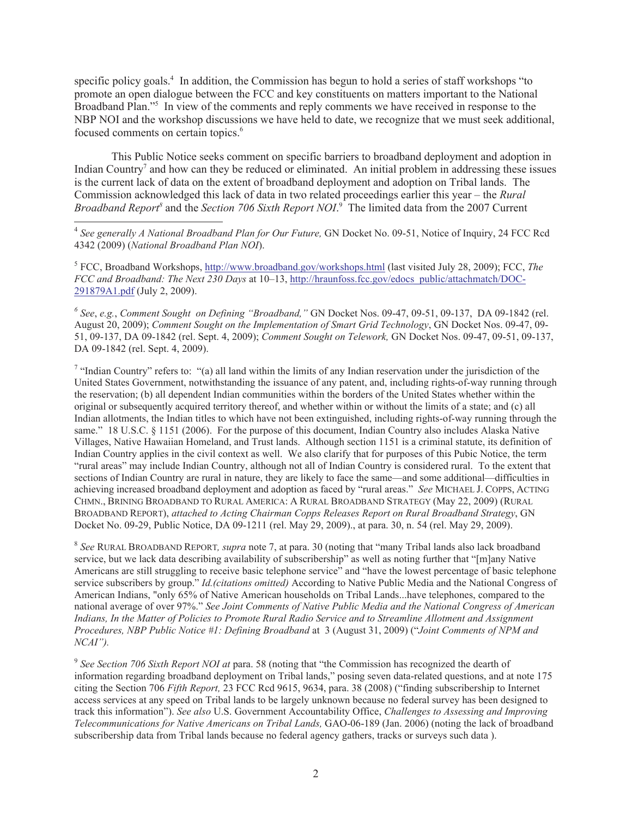specific policy goals.<sup>4</sup> In addition, the Commission has begun to hold a series of staff workshops "to promote an open dialogue between the FCC and key constituents on matters important to the National Broadband Plan."<sup>5</sup> In view of the comments and reply comments we have received in response to the NBP NOI and the workshop discussions we have held to date, we recognize that we must seek additional, focused comments on certain topics.<sup>6</sup>

This Public Notice seeks comment on specific barriers to broadband deployment and adoption in Indian Country<sup>7</sup> and how can they be reduced or eliminated. An initial problem in addressing these issues is the current lack of data on the extent of broadband deployment and adoption on Tribal lands. The Commission acknowledged this lack of data in two related proceedings earlier this year – the *Rural*  Broadband Report<sup>8</sup> and the *Section 706 Sixth Report NOI*.<sup>9</sup> The limited data from the 2007 Current

<sup>4</sup> See generally A National Broadband Plan for Our Future, GN Docket No. 09-51, Notice of Inquiry, 24 FCC Rcd 4342 (2009) (*National Broadband Plan NOI*).

<sup>5</sup> FCC, Broadband Workshops, http://www.broadband.gov/workshops.html (last visited July 28, 2009); FCC, The *FCC and Broadband: The Next 230 Days* at 10–13, http://hraunfoss.fcc.gov/edocs\_public/attachmatch/DOC-291879A1.pdf (July 2, 2009).

*6 See*, *e.g.*, *Comment Sought on Defining "Broadband,"* GN Docket Nos. 09-47, 09-51, 09-137, DA 09-1842 (rel. August 20, 2009); *Comment Sought on the Implementation of Smart Grid Technology*, GN Docket Nos. 09-47, 09- 51, 09-137, DA 09-1842 (rel. Sept. 4, 2009); *Comment Sought on Telework,* GN Docket Nos. 09-47, 09-51, 09-137, DA 09-1842 (rel. Sept. 4, 2009).

<sup>7</sup> "Indian Country" refers to: "(a) all land within the limits of any Indian reservation under the jurisdiction of the United States Government, notwithstanding the issuance of any patent, and, including rights-of-way running through the reservation; (b) all dependent Indian communities within the borders of the United States whether within the original or subsequently acquired territory thereof, and whether within or without the limits of a state; and (c) all Indian allotments, the Indian titles to which have not been extinguished, including rights-of-way running through the same." 18 U.S.C. § 1151 (2006). For the purpose of this document, Indian Country also includes Alaska Native Villages, Native Hawaiian Homeland, and Trust lands. Although section 1151 is a criminal statute, its definition of Indian Country applies in the civil context as well. We also clarify that for purposes of this Pubic Notice, the term "rural areas" may include Indian Country, although not all of Indian Country is considered rural. To the extent that sections of Indian Country are rural in nature, they are likely to face the same—and some additional—difficulties in achieving increased broadband deployment and adoption as faced by "rural areas." *See* MICHAEL J. COPPS, ACTING CHMN., BRINING BROADBAND TO RURAL AMERICA: A RURAL BROADBAND STRATEGY (May 22, 2009) (RURAL BROADBAND REPORT), *attached to Acting Chairman Copps Releases Report on Rural Broadband Strategy*, GN Docket No. 09-29, Public Notice, DA 09-1211 (rel. May 29, 2009)., at para. 30, n. 54 (rel. May 29, 2009).

8 *See* RURAL BROADBAND REPORT*, supra* note 7, at para. 30 (noting that "many Tribal lands also lack broadband service, but we lack data describing availability of subscribership" as well as noting further that "[m]any Native Americans are still struggling to receive basic telephone service" and "have the lowest percentage of basic telephone service subscribers by group." *Id.(citations omitted)* According to Native Public Media and the National Congress of American Indians, "only 65% of Native American households on Tribal Lands...have telephones, compared to the national average of over 97%." *See Joint Comments of Native Public Media and the National Congress of American Indians, In the Matter of Policies to Promote Rural Radio Service and to Streamline Allotment and Assignment Procedures, NBP Public Notice #1: Defining Broadband* at 3 (August 31, 2009) ("*Joint Comments of NPM and NCAI").*

<sup>9</sup> See Section 706 Sixth Report NOI at para. 58 (noting that "the Commission has recognized the dearth of information regarding broadband deployment on Tribal lands," posing seven data-related questions, and at note 175 citing the Section 706 *Fifth Report,* 23 FCC Rcd 9615, 9634, para. 38 (2008) ("finding subscribership to Internet access services at any speed on Tribal lands to be largely unknown because no federal survey has been designed to track this information"). *See also* U.S. Government Accountability Office, *Challenges to Assessing and Improving Telecommunications for Native Americans on Tribal Lands,* GAO-06-189 (Jan. 2006) (noting the lack of broadband subscribership data from Tribal lands because no federal agency gathers, tracks or surveys such data ).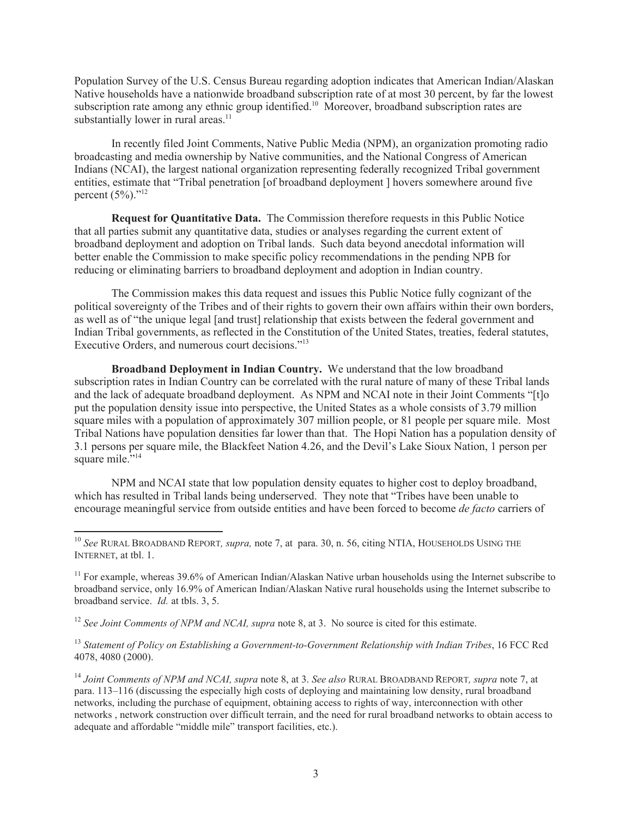Population Survey of the U.S. Census Bureau regarding adoption indicates that American Indian/Alaskan Native households have a nationwide broadband subscription rate of at most 30 percent, by far the lowest subscription rate among any ethnic group identified.<sup>10</sup> Moreover, broadband subscription rates are substantially lower in rural areas. $11$ 

In recently filed Joint Comments, Native Public Media (NPM), an organization promoting radio broadcasting and media ownership by Native communities, and the National Congress of American Indians (NCAI), the largest national organization representing federally recognized Tribal government entities, estimate that "Tribal penetration [of broadband deployment ] hovers somewhere around five percent  $(5\%)$ ."<sup>12</sup>

**Request for Quantitative Data.** The Commission therefore requests in this Public Notice that all parties submit any quantitative data, studies or analyses regarding the current extent of broadband deployment and adoption on Tribal lands. Such data beyond anecdotal information will better enable the Commission to make specific policy recommendations in the pending NPB for reducing or eliminating barriers to broadband deployment and adoption in Indian country.

The Commission makes this data request and issues this Public Notice fully cognizant of the political sovereignty of the Tribes and of their rights to govern their own affairs within their own borders, as well as of "the unique legal [and trust] relationship that exists between the federal government and Indian Tribal governments, as reflected in the Constitution of the United States, treaties, federal statutes, Executive Orders, and numerous court decisions."<sup>13</sup>

**Broadband Deployment in Indian Country.** We understand that the low broadband subscription rates in Indian Country can be correlated with the rural nature of many of these Tribal lands and the lack of adequate broadband deployment. As NPM and NCAI note in their Joint Comments "[t]o put the population density issue into perspective, the United States as a whole consists of 3.79 million square miles with a population of approximately 307 million people, or 81 people per square mile. Most Tribal Nations have population densities far lower than that. The Hopi Nation has a population density of 3.1 persons per square mile, the Blackfeet Nation 4.26, and the Devil's Lake Sioux Nation, 1 person per square mile."<sup>14</sup>

NPM and NCAI state that low population density equates to higher cost to deploy broadband, which has resulted in Tribal lands being underserved. They note that "Tribes have been unable to encourage meaningful service from outside entities and have been forced to become *de facto* carriers of

<sup>12</sup> *See Joint Comments of NPM and NCAI, supra* note 8, at 3. No source is cited for this estimate.

<sup>13</sup> *Statement of Policy on Establishing a Government-to-Government Relationship with Indian Tribes*, 16 FCC Rcd 4078, 4080 (2000).

<sup>14</sup> *Joint Comments of NPM and NCAI, supra* note 8, at 3. *See also* RURAL BROADBAND REPORT*, supra* note 7, at para. 113–116 (discussing the especially high costs of deploying and maintaining low density, rural broadband networks, including the purchase of equipment, obtaining access to rights of way, interconnection with other networks , network construction over difficult terrain, and the need for rural broadband networks to obtain access to adequate and affordable "middle mile" transport facilities, etc.).

<sup>10</sup> *See* RURAL BROADBAND REPORT*, supra,* note 7, at para. 30, n. 56, citing NTIA, HOUSEHOLDS USING THE INTERNET, at tbl. 1.

<sup>&</sup>lt;sup>11</sup> For example, whereas 39.6% of American Indian/Alaskan Native urban households using the Internet subscribe to broadband service, only 16.9% of American Indian/Alaskan Native rural households using the Internet subscribe to broadband service. *Id.* at tbls. 3, 5.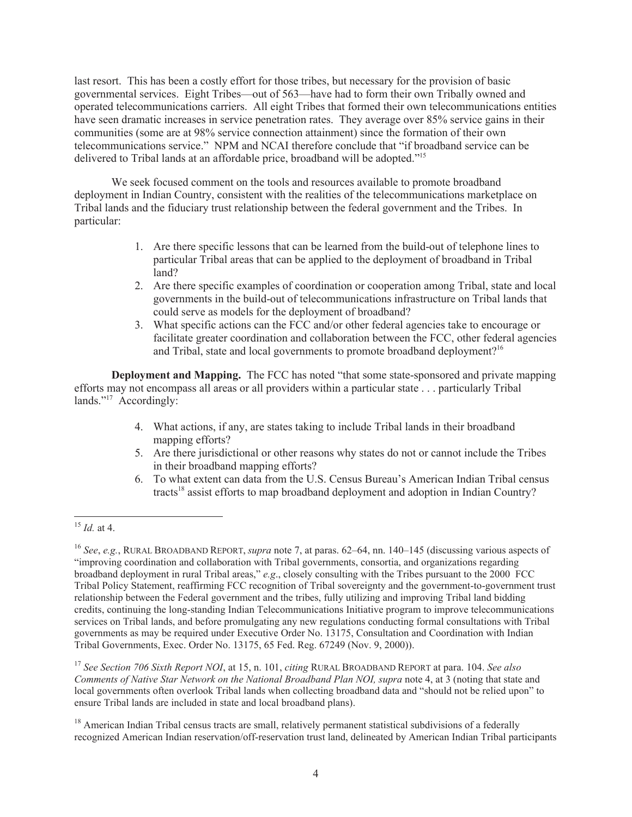last resort. This has been a costly effort for those tribes, but necessary for the provision of basic governmental services. Eight Tribes—out of 563—have had to form their own Tribally owned and operated telecommunications carriers. All eight Tribes that formed their own telecommunications entities have seen dramatic increases in service penetration rates. They average over 85% service gains in their communities (some are at 98% service connection attainment) since the formation of their own telecommunications service." NPM and NCAI therefore conclude that "if broadband service can be delivered to Tribal lands at an affordable price, broadband will be adopted."<sup>15</sup>

We seek focused comment on the tools and resources available to promote broadband deployment in Indian Country, consistent with the realities of the telecommunications marketplace on Tribal lands and the fiduciary trust relationship between the federal government and the Tribes. In particular:

- 1. Are there specific lessons that can be learned from the build-out of telephone lines to particular Tribal areas that can be applied to the deployment of broadband in Tribal land?
- 2. Are there specific examples of coordination or cooperation among Tribal, state and local governments in the build-out of telecommunications infrastructure on Tribal lands that could serve as models for the deployment of broadband?
- 3. What specific actions can the FCC and/or other federal agencies take to encourage or facilitate greater coordination and collaboration between the FCC, other federal agencies and Tribal, state and local governments to promote broadband deployment?<sup>16</sup>

**Deployment and Mapping.** The FCC has noted "that some state-sponsored and private mapping efforts may not encompass all areas or all providers within a particular state . . . particularly Tribal lands."<sup>17</sup> Accordingly:

- 4. What actions, if any, are states taking to include Tribal lands in their broadband mapping efforts?
- 5. Are there jurisdictional or other reasons why states do not or cannot include the Tribes in their broadband mapping efforts?
- 6. To what extent can data from the U.S. Census Bureau's American Indian Tribal census tracts<sup>18</sup> assist efforts to map broadband deployment and adoption in Indian Country?

<sup>15</sup> *Id.* at 4.

<sup>16</sup> *See*, *e.g.*, RURAL BROADBAND REPORT, *supra* note 7, at paras. 62–64, nn. 140–145 (discussing various aspects of "improving coordination and collaboration with Tribal governments, consortia, and organizations regarding broadband deployment in rural Tribal areas," *e.g*., closely consulting with the Tribes pursuant to the 2000 FCC Tribal Policy Statement, reaffirming FCC recognition of Tribal sovereignty and the government-to-government trust relationship between the Federal government and the tribes, fully utilizing and improving Tribal land bidding credits, continuing the long-standing Indian Telecommunications Initiative program to improve telecommunications services on Tribal lands, and before promulgating any new regulations conducting formal consultations with Tribal governments as may be required under Executive Order No. 13175, Consultation and Coordination with Indian Tribal Governments, Exec. Order No. 13175, 65 Fed. Reg. 67249 (Nov. 9, 2000)).

<sup>17</sup> *See Section 706 Sixth Report NOI*, at 15, n. 101, *citing* RURAL BROADBAND REPORT at para. 104. *See also Comments of Native Star Network on the National Broadband Plan NOI, supra* note 4, at 3 (noting that state and local governments often overlook Tribal lands when collecting broadband data and "should not be relied upon" to ensure Tribal lands are included in state and local broadband plans).

<sup>&</sup>lt;sup>18</sup> American Indian Tribal census tracts are small, relatively permanent statistical subdivisions of a federally recognized American Indian reservation/off-reservation trust land, delineated by American Indian Tribal participants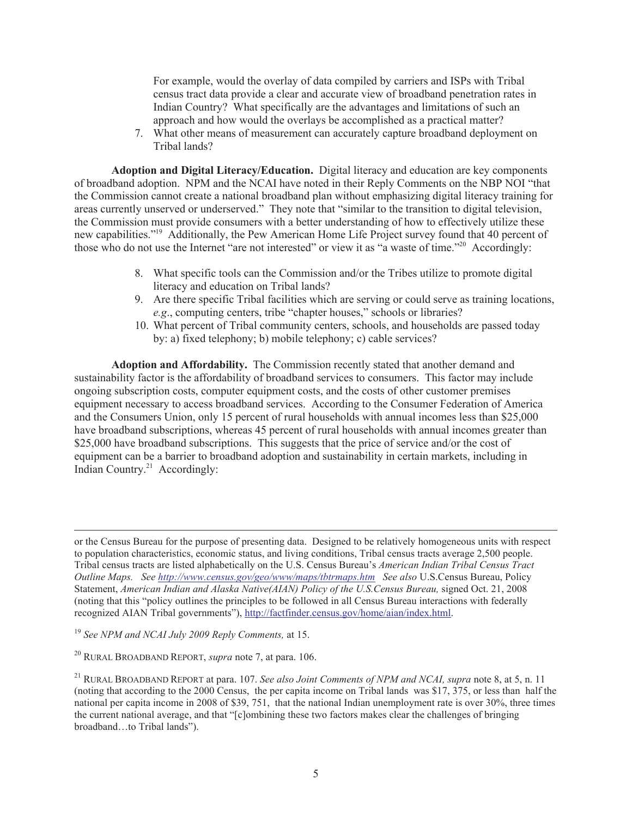For example, would the overlay of data compiled by carriers and ISPs with Tribal census tract data provide a clear and accurate view of broadband penetration rates in Indian Country? What specifically are the advantages and limitations of such an approach and how would the overlays be accomplished as a practical matter?

7. What other means of measurement can accurately capture broadband deployment on Tribal lands?

**Adoption and Digital Literacy/Education.** Digital literacy and education are key components of broadband adoption. NPM and the NCAI have noted in their Reply Comments on the NBP NOI "that the Commission cannot create a national broadband plan without emphasizing digital literacy training for areas currently unserved or underserved." They note that "similar to the transition to digital television, the Commission must provide consumers with a better understanding of how to effectively utilize these new capabilities."<sup>19</sup> Additionally, the Pew American Home Life Project survey found that 40 percent of those who do not use the Internet "are not interested" or view it as "a waste of time."<sup>20</sup> Accordingly:

- 8. What specific tools can the Commission and/or the Tribes utilize to promote digital literacy and education on Tribal lands?
- 9. Are there specific Tribal facilities which are serving or could serve as training locations, *e.g*., computing centers, tribe "chapter houses," schools or libraries?
- 10. What percent of Tribal community centers, schools, and households are passed today by: a) fixed telephony; b) mobile telephony; c) cable services?

**Adoption and Affordability.** The Commission recently stated that another demand and sustainability factor is the affordability of broadband services to consumers. This factor may include ongoing subscription costs, computer equipment costs, and the costs of other customer premises equipment necessary to access broadband services. According to the Consumer Federation of America and the Consumers Union, only 15 percent of rural households with annual incomes less than \$25,000 have broadband subscriptions, whereas 45 percent of rural households with annual incomes greater than \$25,000 have broadband subscriptions. This suggests that the price of service and/or the cost of equipment can be a barrier to broadband adoption and sustainability in certain markets, including in Indian Country.<sup>21</sup> Accordingly:

or the Census Bureau for the purpose of presenting data. Designed to be relatively homogeneous units with respect to population characteristics, economic status, and living conditions, Tribal census tracts average 2,500 people. Tribal census tracts are listed alphabetically on the U.S. Census Bureau's *American Indian Tribal Census Tract Outline Maps. See http://www.census.gov/geo/www/maps/tbtrmaps.htm See also* U.S.Census Bureau, Policy Statement, *American Indian and Alaska Native(AIAN) Policy of the U.S.Census Bureau,* signed Oct. 21, 2008 (noting that this "policy outlines the principles to be followed in all Census Bureau interactions with federally recognized AIAN Tribal governments"), http://factfinder.census.gov/home/aian/index.html.

<sup>19</sup> *See NPM and NCAI July 2009 Reply Comments,* at 15.

<sup>20</sup> RURAL BROADBAND REPORT, *supra* note 7, at para. 106.

<sup>21</sup> RURAL BROADBAND REPORT at para. 107. *See also Joint Comments of NPM and NCAI, supra* note 8, at 5, n. 11 (noting that according to the 2000 Census, the per capita income on Tribal lands was \$17, 375, or less than half the national per capita income in 2008 of \$39, 751, that the national Indian unemployment rate is over 30%, three times the current national average, and that "[c]ombining these two factors makes clear the challenges of bringing broadband…to Tribal lands").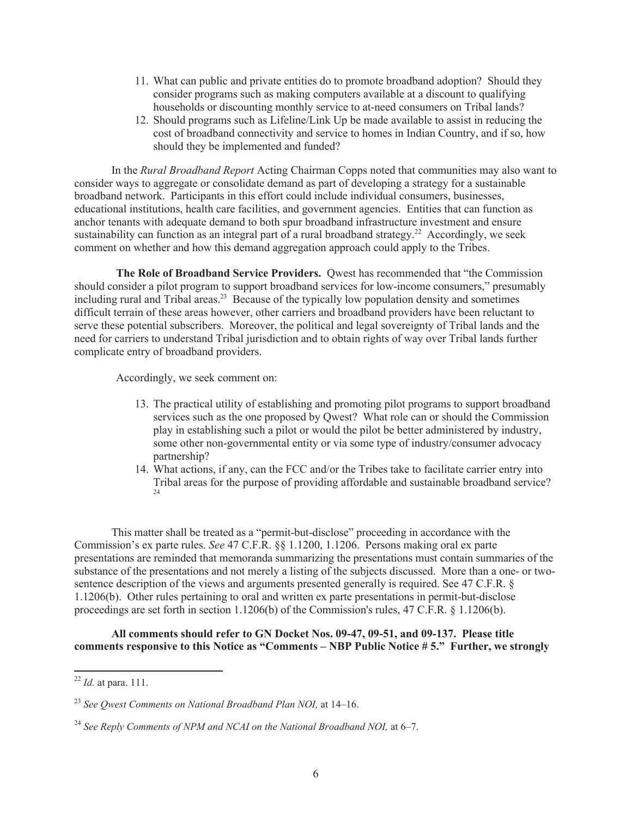- 11. What can public and private entities do to promote broadband adoption? Should they consider programs such as making computers available at a discount to qualifying households or discounting monthly service to at-need consumers on Tribal lands?
- 12. Should programs such as Lifeline/Link Up be made available to assist in reducing the cost of broadband connectivity and service to homes in Indian Country, and if so, how should they be implemented and funded?

In the *Rural Broadband Report* Acting Chairman Copps noted that communities may also want to consider ways to aggregate or consolidate demand as part of developing a strategy for a sustainable broadband network. Participants in this effort could include individual consumers, businesses, educational institutions, health care facilities, and government agencies. Entities that can function as anchor tenants with adequate demand to both spur broadband infrastructure investment and ensure sustainability can function as an integral part of a rural broadband strategy.<sup>22</sup> Accordingly, we seek comment on whether and how this demand aggregation approach could apply to the Tribes.

**The Role of Broadband Service Providers.** Qwest has recommended that "the Commission should consider a pilot program to support broadband services for low-income consumers," presumably including rural and Tribal areas.<sup>23</sup> Because of the typically low population density and sometimes difficult terrain of these areas however, other carriers and broadband providers have been reluctant to serve these potential subscribers. Moreover, the political and legal sovereignty of Tribal lands and the need for carriers to understand Tribal jurisdiction and to obtain rights of way over Tribal lands further complicate entry of broadband providers.

Accordingly, we seek comment on:

- 13. The practical utility of establishing and promoting pilot programs to support broadband services such as the one proposed by Qwest? What role can or should the Commission play in establishing such a pilot or would the pilot be better administered by industry, some other non-governmental entity or via some type of industry/consumer advocacy partnership?
- 14. What actions, if any, can the FCC and/or the Tribes take to facilitate carrier entry into Tribal areas for the purpose of providing affordable and sustainable broadband service? 24

This matter shall be treated as a "permit-but-disclose" proceeding in accordance with the Commission's ex parte rules. *See* 47 C.F.R. §§ 1.1200, 1.1206. Persons making oral ex parte presentations are reminded that memoranda summarizing the presentations must contain summaries of the substance of the presentations and not merely a listing of the subjects discussed. More than a one- or twosentence description of the views and arguments presented generally is required. See 47 C.F.R. § 1.1206(b). Other rules pertaining to oral and written ex parte presentations in permit-but-disclose proceedings are set forth in section 1.1206(b) of the Commission's rules, 47 C.F.R. § 1.1206(b).

**All comments should refer to GN Docket Nos. 09-47, 09-51, and 09-137. Please title comments responsive to this Notice as "Comments – NBP Public Notice # 5." Further, we strongly** 

<sup>22</sup> *Id.* at para. 111.

<sup>23</sup> *See Qwest Comments on National Broadband Plan NOI,* at 14–16.

<sup>&</sup>lt;sup>24</sup> See Reply Comments of NPM and NCAI on the National Broadband NOI, at 6–7.